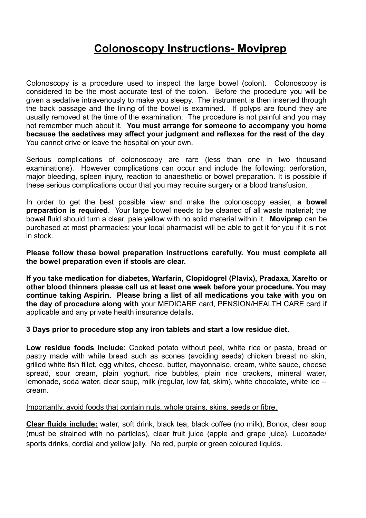## **Colonoscopy Instructions- Moviprep**

Colonoscopy is a procedure used to inspect the large bowel (colon). Colonoscopy is considered to be the most accurate test of the colon. Before the procedure you will be given a sedative intravenously to make you sleepy. The instrument is then inserted through the back passage and the lining of the bowel is examined. If polyps are found they are usually removed at the time of the examination. The procedure is not painful and you may not remember much about it. **You must arrange for someone to accompany you home because the sedatives may affect your judgment and reflexes for the rest of the day**. You cannot drive or leave the hospital on your own.

Serious complications of colonoscopy are rare (less than one in two thousand examinations). However complications can occur and include the following: perforation, major bleeding, spleen injury, reaction to anaesthetic or bowel preparation. It is possible if these serious complications occur that you may require surgery or a blood transfusion.

In order to get the best possible view and make the colonoscopy easier, **a bowel preparation is required**. Your large bowel needs to be cleaned of all waste material; the bowel fluid should turn a clear, pale yellow with no solid material within it. **Moviprep** can be purchased at most pharmacies; your local pharmacist will be able to get it for you if it is not in stock.

**Please follow these bowel preparation instructions carefully. You must complete all the bowel preparation even if stools are clear.** 

**If you take medication for diabetes, Warfarin, Clopidogrel (Plavix), Pradaxa, Xarelto or other blood thinners please call us at least one week before your procedure. You may continue taking Aspirin. Please bring a list of all medications you take with you on the day of procedure along with** your MEDICARE card, PENSION/HEALTH CARE card if applicable and any private health insurance details**.**

## **3 Days prior to procedure stop any iron tablets and start a low residue diet.**

**Low residue foods include**: Cooked potato without peel, white rice or pasta, bread or pastry made with white bread such as scones (avoiding seeds) chicken breast no skin, grilled white fish fillet, egg whites, cheese, butter, mayonnaise, cream, white sauce, cheese spread, sour cream, plain yoghurt, rice bubbles, plain rice crackers, mineral water, lemonade, soda water, clear soup, milk (regular, low fat, skim), white chocolate, white ice – cream.

## Importantly, avoid foods that contain nuts, whole grains, skins, seeds or fibre.

**Clear fluids include:** water, soft drink, black tea, black coffee (no milk), Bonox, clear soup (must be strained with no particles), clear fruit juice (apple and grape juice), Lucozade/ sports drinks, cordial and yellow jelly. No red, purple or green coloured liquids.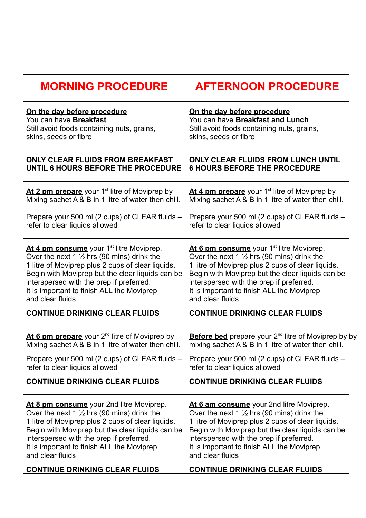| <b>MORNING PROCEDURE</b>                                  | <b>AFTERNOON PROCEDURE</b>                                      |
|-----------------------------------------------------------|-----------------------------------------------------------------|
| On the day before procedure                               | On the day before procedure                                     |
| You can have Breakfast                                    | You can have Breakfast and Lunch                                |
| Still avoid foods containing nuts, grains,                | Still avoid foods containing nuts, grains,                      |
| skins, seeds or fibre                                     | skins, seeds or fibre                                           |
| <b>ONLY CLEAR FLUIDS FROM BREAKFAST</b>                   | <b>ONLY CLEAR FLUIDS FROM LUNCH UNTIL</b>                       |
| UNTIL 6 HOURS BEFORE THE PROCEDURE                        | <b>6 HOURS BEFORE THE PROCEDURE</b>                             |
| At 2 pm prepare your 1 <sup>st</sup> litre of Moviprep by | At 4 pm prepare your 1 <sup>st</sup> litre of Moviprep by       |
| Mixing sachet A & B in 1 litre of water then chill.       | Mixing sachet A & B in 1 litre of water then chill.             |
| Prepare your 500 ml (2 cups) of CLEAR fluids -            | Prepare your 500 ml (2 cups) of CLEAR fluids -                  |
| refer to clear liquids allowed                            | refer to clear liquids allowed                                  |
| At 4 pm consume your 1 <sup>st</sup> litre Moviprep.      | At 6 pm consume your 1 <sup>st</sup> litre Moviprep.            |
| Over the next 1 $\frac{1}{2}$ hrs (90 mins) drink the     | Over the next 1 $\frac{1}{2}$ hrs (90 mins) drink the           |
| 1 litre of Moviprep plus 2 cups of clear liquids.         | 1 litre of Moviprep plus 2 cups of clear liquids.               |
| Begin with Moviprep but the clear liquids can be          | Begin with Moviprep but the clear liquids can be                |
| interspersed with the prep if preferred.                  | interspersed with the prep if preferred.                        |
| It is important to finish ALL the Moviprep                | It is important to finish ALL the Moviprep                      |
| and clear fluids                                          | and clear fluids                                                |
| <b>CONTINUE DRINKING CLEAR FLUIDS</b>                     | <b>CONTINUE DRINKING CLEAR FLUIDS</b>                           |
| At 6 pm prepare your 2 <sup>nd</sup> litre of Moviprep by | <b>Before bed</b> prepare your $2^{nd}$ litre of Moviprep by by |
| Mixing sachet A & B in 1 litre of water then chill.       | mixing sachet A & B in 1 litre of water then chill.             |
| Prepare your 500 ml (2 cups) of CLEAR fluids -            | Prepare your 500 ml (2 cups) of CLEAR fluids -                  |
| refer to clear liquids allowed                            | refer to clear liquids allowed                                  |
| <b>CONTINUE DRINKING CLEAR FLUIDS</b>                     | <b>CONTINUE DRINKING CLEAR FLUIDS</b>                           |
| At 8 pm consume your 2nd litre Moviprep.                  | At 6 am consume your 2nd litre Moviprep.                        |
| Over the next 1 $\frac{1}{2}$ hrs (90 mins) drink the     | Over the next 1 $\frac{1}{2}$ hrs (90 mins) drink the           |
| 1 litre of Moviprep plus 2 cups of clear liquids.         | 1 litre of Moviprep plus 2 cups of clear liquids.               |
| Begin with Moviprep but the clear liquids can be          | Begin with Moviprep but the clear liquids can be                |
| interspersed with the prep if preferred.                  | interspersed with the prep if preferred.                        |
| It is important to finish ALL the Moviprep                | It is important to finish ALL the Moviprep                      |
| and clear fluids                                          | and clear fluids                                                |
| <b>CONTINUE DRINKING CLEAR FLUIDS</b>                     | <b>CONTINUE DRINKING CLEAR FLUIDS</b>                           |